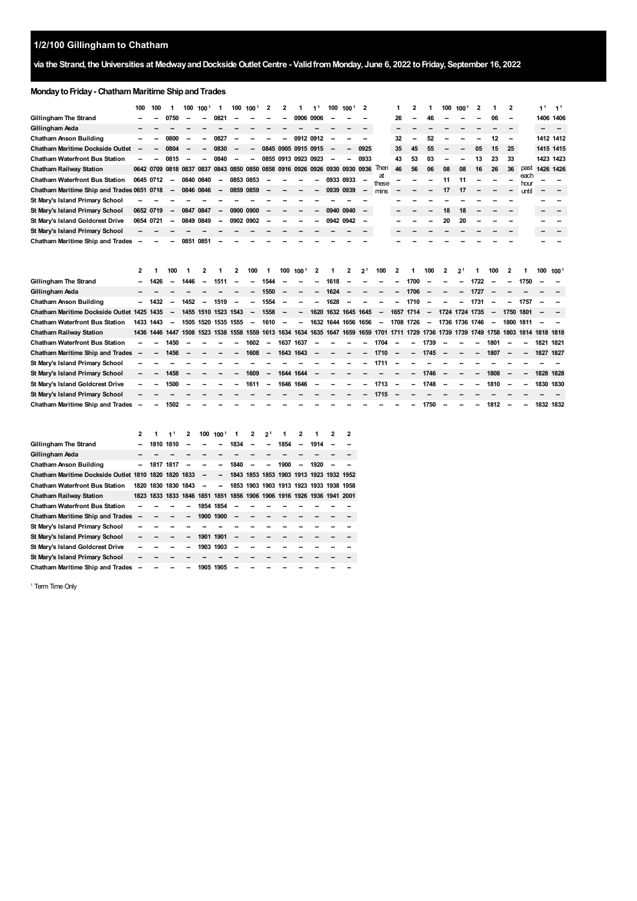# **1/2/100 Gillingham to Chatham**

## via the Strand, the Universities at Medway and Dockside Outlet Centre - Valid from Monday, June 6, 2022 to Friday, September 16, 2022

# **MondaytoFriday- ChathamMaritime ShipandTrades**

|                                            | 100       | 100            | 1                        | 100                                                                   | 100                                                         | 1                | 100       | 100    | 2                             | 2         | 1                   | 1 <sup>1</sup> | 100       | 100                 | $\overline{2}$ |                                                                                                                         | 1                        | 2         | 1                        | 100 | 100            | 2    |                          | $\mathbf{2}$ |              | 1 <sup>1</sup> | 1 <sup>1</sup>   |
|--------------------------------------------|-----------|----------------|--------------------------|-----------------------------------------------------------------------|-------------------------------------------------------------|------------------|-----------|--------|-------------------------------|-----------|---------------------|----------------|-----------|---------------------|----------------|-------------------------------------------------------------------------------------------------------------------------|--------------------------|-----------|--------------------------|-----|----------------|------|--------------------------|--------------|--------------|----------------|------------------|
| Gillingham The Strand                      |           |                | 0750                     |                                                                       |                                                             | 0821             |           |        |                               |           | 0906                | 0906           |           |                     |                |                                                                                                                         | 26                       |           | 46                       |     |                |      | 06                       |              |              | 1406           | 1406             |
| Gillingham Asda                            |           |                |                          |                                                                       |                                                             |                  |           |        |                               |           |                     |                |           |                     |                |                                                                                                                         | --                       |           |                          |     |                |      |                          |              |              |                |                  |
| Chatham Anson Building                     |           |                | 0800                     |                                                                       |                                                             | 0827             |           |        |                               |           | 0912                | 0912           |           |                     |                |                                                                                                                         | 32                       |           | 52                       |     |                |      | 12                       | -            |              | 1412 1412      |                  |
| Chatham Maritime Dockside Outlet           |           |                | 0804                     |                                                                       |                                                             | 0830             |           |        |                               |           | 0845 0905 0915 0915 |                |           |                     | 0925           |                                                                                                                         | 35                       | 45        | 55                       |     |                | 05   | 15                       | 25           |              | 1415 1415      |                  |
| <b>Chatham Waterfront Bus Station</b>      |           |                | 0815                     |                                                                       |                                                             | 0840             |           |        |                               |           | 0855 0913 0923 0923 |                |           |                     | 0933           |                                                                                                                         | 43                       | 53        | 03                       |     |                | 13   | 23                       | 33           |              | 1423 1423      |                  |
| <b>Chatham Railway Station</b>             |           | 0642 0709 0818 |                          |                                                                       | 0837 0837 0843 0850 0850 0858 0916 0926 0926 0930 0930 0936 |                  |           |        |                               |           |                     |                |           |                     |                | Then                                                                                                                    | 46                       | 56        | 06                       | 08  | 08             | 16   | 26                       | 36           | past         | 1426 1426      |                  |
| <b>Chatham Waterfront Bus Station</b>      | 0645 0712 |                |                          | 0840                                                                  | 0840                                                        | $\sim$           | 0853 0853 |        |                               |           |                     |                | 0933 0933 |                     |                | at<br>these                                                                                                             |                          |           |                          | 11  | 11             |      |                          |              | each<br>hour |                |                  |
| Chatham Maritime Ship and Trades 0651 0718 |           |                | $\overline{\phantom{a}}$ | 0846 0846                                                             |                                                             | $\sim$           | 0859 0859 |        |                               |           |                     |                | 0939 0939 |                     | -              | mins                                                                                                                    |                          |           |                          | 17  | 17             |      |                          |              | until        |                |                  |
| St Mary's Island Primary School            |           |                |                          |                                                                       |                                                             |                  |           |        |                               |           |                     |                |           |                     |                |                                                                                                                         |                          |           |                          |     |                |      |                          |              |              |                |                  |
| St Mary's Island Primary School            | 0652 0719 |                | $\overline{\phantom{a}}$ | 0847 0847                                                             |                                                             | $\sim$           | 0900 0900 |        |                               |           |                     |                | 0940      | 0940                |                |                                                                                                                         |                          |           |                          | 18  | 18             |      |                          |              |              |                |                  |
| St Mary's Island Goldcrest Drive           | 0654 0721 |                |                          | 0849 0849                                                             |                                                             |                  | 0902 0902 |        |                               |           |                     |                | 0942 0942 |                     |                |                                                                                                                         |                          |           |                          | 20  | 20             |      |                          |              |              |                |                  |
| St Mary's Island Primary School            |           |                |                          |                                                                       |                                                             |                  |           |        |                               |           |                     |                |           |                     |                |                                                                                                                         |                          |           |                          |     |                |      |                          |              |              |                |                  |
| <b>Chatham Maritime Ship and Trades</b>    |           |                |                          | 0851 0851                                                             |                                                             |                  |           |        |                               |           |                     |                |           |                     |                |                                                                                                                         |                          |           |                          |     |                |      |                          |              |              |                |                  |
|                                            |           |                |                          |                                                                       |                                                             |                  |           |        |                               |           |                     |                |           |                     |                |                                                                                                                         |                          |           |                          |     |                |      |                          |              |              |                |                  |
|                                            |           |                |                          |                                                                       |                                                             |                  |           |        |                               |           |                     |                |           |                     |                |                                                                                                                         |                          |           |                          |     |                |      |                          |              |              |                |                  |
|                                            | 2         | 1              | 100                      | 1                                                                     | 2                                                           |                  | 2         | 100    | -1                            | 100       | 100 <sup>1</sup>    | 2              | 1         | 2                   | $2^1$          | 100                                                                                                                     | 2                        | 1         | 100                      | 2   | 2 <sup>1</sup> | 1    | 100                      | 2            | 1            | 100            | 100 <sup>1</sup> |
| Gillingham The Strand                      |           | 1426           | $\overline{\phantom{a}}$ | 1446                                                                  |                                                             | 1511             |           |        | 1544                          |           |                     |                | 1618      |                     |                |                                                                                                                         |                          | 1700      |                          |     |                | 1722 | -                        |              | 1750         |                |                  |
| Gillingham Asda                            |           |                |                          |                                                                       |                                                             |                  |           | --     | 1550                          |           |                     |                | 1624      |                     |                |                                                                                                                         | --                       | 1706      | $\overline{\phantom{a}}$ |     | --             | 1727 |                          |              |              |                |                  |
| Chatham Anson Building                     | Ξ.        | 1432           |                          | 1452                                                                  |                                                             | 1519             |           |        | 1554                          |           |                     |                | 1628      |                     |                |                                                                                                                         |                          | 1710      |                          |     |                | 1731 |                          |              | 1757         |                |                  |
| Chatham Maritime Dockside Outlet 1425      |           | 1435           | $\overline{\phantom{a}}$ |                                                                       | 1455 1510 1523 1543                                         |                  |           | $\sim$ | 1558                          | -         |                     |                |           | 1620 1632 1645 1645 |                | $\sim$                                                                                                                  |                          | 1657 1714 | $\overline{\phantom{a}}$ |     | 1724 1724 1735 |      | $\overline{\phantom{a}}$ | 1750 1801    |              |                |                  |
| <b>Chatham Waterfront Bus Station</b>      | 1433 1443 |                | $\overline{\phantom{a}}$ |                                                                       | 1505 1520 1535 1555                                         |                  |           | $\sim$ | 1610                          | $\sim$    | --                  |                |           | 1632 1644 1656 1656 |                | $\sim$                                                                                                                  |                          | 1708 1726 | $\overline{\phantom{a}}$ |     | 1736 1736 1746 |      | $\overline{\phantom{a}}$ | 1800 1811    |              |                |                  |
| <b>Chatham Railway Station</b>             |           | 1436 1446 1447 |                          |                                                                       |                                                             |                  |           |        |                               |           |                     |                |           |                     |                | 1508 1523 1538 1558 1559 1613 1634 1634 1635 1647 1659 1659 1701 1711 1729 1736 1739 1739 1749 1758 1803 1814 1818 1818 |                          |           |                          |     |                |      |                          |              |              |                |                  |
| <b>Chatham Waterfront Bus Station</b>      |           |                | 1450                     |                                                                       |                                                             |                  |           | 1602   |                               | 1637 1637 |                     |                |           |                     |                | 1704                                                                                                                    |                          |           | 1739                     |     |                |      | 1801                     |              |              | 1821 1821      |                  |
| <b>Chatham Maritime Ship and Trades</b>    |           |                | 1456                     |                                                                       |                                                             |                  |           | 1608   | --                            | 1643 1643 |                     |                |           |                     |                | 1710                                                                                                                    | -                        |           | 1745                     |     |                |      | 1807                     |              |              | 1827 1827      |                  |
| St Mary's Island Primary School            |           |                |                          |                                                                       |                                                             |                  |           |        |                               |           |                     |                |           |                     |                | 1711                                                                                                                    |                          |           |                          |     |                |      |                          |              |              |                |                  |
| St Mary's Island Primary School            |           |                | 1458                     |                                                                       |                                                             |                  |           | 1609   | $\overline{\phantom{a}}$      | 1644 1644 |                     |                |           |                     |                |                                                                                                                         |                          |           | 1746                     |     |                |      | 1808                     | $\sim$       |              | 1828 1828      |                  |
| St Mary's Island Goldcrest Drive           |           |                | 1500                     | --                                                                    |                                                             |                  |           | 1611   | $\sim$                        | 1646 1646 |                     |                |           |                     |                | 1713                                                                                                                    | $\overline{\phantom{a}}$ | ۰.        | 1748                     |     |                |      | 1810                     | $\sim$       |              | 1830 1830      |                  |
| St Mary's Island Primary School            |           |                |                          |                                                                       |                                                             |                  |           |        |                               |           |                     |                |           |                     |                | 1715                                                                                                                    |                          |           |                          |     |                |      |                          |              |              |                |                  |
| <b>Chatham Maritime Ship and Trades</b>    |           |                | 1502                     |                                                                       |                                                             |                  |           |        |                               |           |                     |                |           |                     |                |                                                                                                                         |                          |           | 1750                     |     |                |      | 1812                     |              |              | 1832 1832      |                  |
|                                            |           |                |                          |                                                                       |                                                             |                  |           |        |                               |           |                     |                |           |                     |                |                                                                                                                         |                          |           |                          |     |                |      |                          |              |              |                |                  |
|                                            |           |                |                          |                                                                       |                                                             |                  |           |        |                               |           |                     |                |           |                     |                |                                                                                                                         |                          |           |                          |     |                |      |                          |              |              |                |                  |
|                                            | 2         |                | 11                       | 2                                                                     | 100                                                         | 100 <sup>1</sup> | 1         | 2      | 2 <sup>1</sup>                |           | $\mathbf{2}$        |                | 2         | 2                   |                |                                                                                                                         |                          |           |                          |     |                |      |                          |              |              |                |                  |
| Gillingham The Strand                      |           | 1810 1810      |                          |                                                                       |                                                             |                  | 1834      |        |                               | 1854      |                     | 1914           |           |                     |                |                                                                                                                         |                          |           |                          |     |                |      |                          |              |              |                |                  |
| Gillingham Asda                            |           |                |                          |                                                                       |                                                             |                  |           |        |                               |           |                     |                |           |                     |                |                                                                                                                         |                          |           |                          |     |                |      |                          |              |              |                |                  |
| <b>Chatham Anson Building</b>              | -         | 1817 1817      |                          |                                                                       |                                                             |                  | 1840      | -      | --                            | 1900      | $\overline{a}$      | 1920           |           |                     |                |                                                                                                                         |                          |           |                          |     |                |      |                          |              |              |                |                  |
| Chatham Maritime Dockside Outlet 1810      |           | 1820           | 1820                     | 1833                                                                  |                                                             |                  |           |        | 1843 1853 1853 1903 1913 1923 |           |                     |                | 1932      | 1952                |                |                                                                                                                         |                          |           |                          |     |                |      |                          |              |              |                |                  |
| <b>Chatham Waterfront Bus Station</b>      | 1820      | 1830           | 1830                     | 1843                                                                  |                                                             |                  | 1853      |        | 1903 1903 1913 1923 1933      |           |                     |                | 1938      | 1958                |                |                                                                                                                         |                          |           |                          |     |                |      |                          |              |              |                |                  |
| Chatham Railway Station                    |           |                |                          | 1823 1833 1833 1846 1851 1851 1856 1906 1906 1916 1926 1936 1941 2001 |                                                             |                  |           |        |                               |           |                     |                |           |                     |                |                                                                                                                         |                          |           |                          |     |                |      |                          |              |              |                |                  |

| Chatham Waterfront Bus Station          |                          |  | --                       | 1854 1854 |           |    |  |  |  |  |
|-----------------------------------------|--------------------------|--|--------------------------|-----------|-----------|----|--|--|--|--|
| <b>Chatham Maritime Ship and Trades</b> |                          |  | $\overline{\phantom{a}}$ | 1900 1900 |           | -- |  |  |  |  |
| St Mary's Island Primary School         |                          |  |                          |           |           |    |  |  |  |  |
| St Mary's Island Primary School         |                          |  | --                       | 1901 1901 |           |    |  |  |  |  |
| St Mary's Island Goldcrest Drive        |                          |  | --                       | 1903 1903 |           |    |  |  |  |  |
| St Mary's Island Primary School         |                          |  |                          |           |           |    |  |  |  |  |
| <b>Chatham Maritime Ship and Trades</b> | $\overline{\phantom{a}}$ |  |                          |           | 1905 1905 | -- |  |  |  |  |

<span id="page-0-0"></span><sup>1</sup> Term Time Only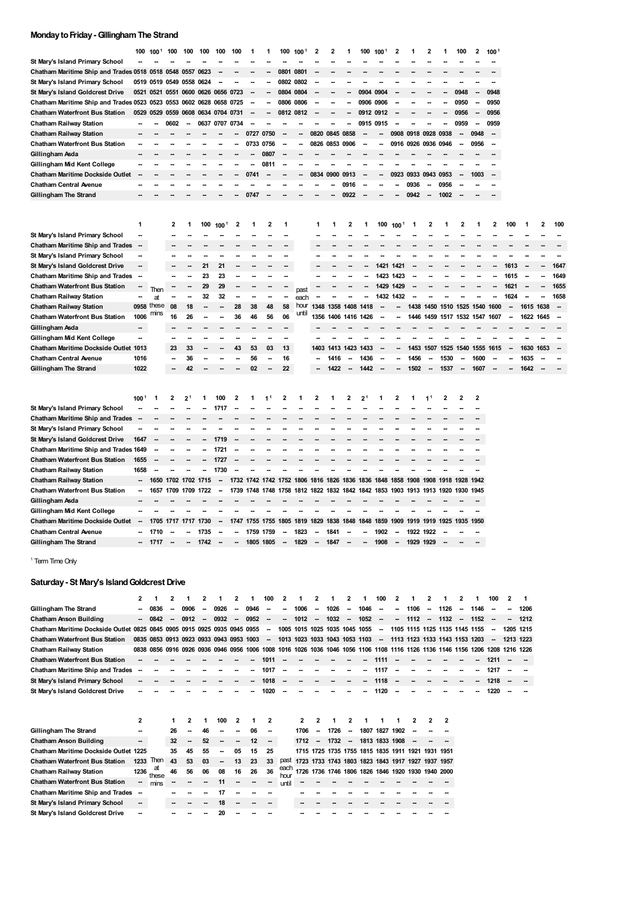#### **MondaytoFriday-GillinghamThe Strand**

|                                                                | 100                      | 100 <sup>1</sup> | 100                      | 100            | 100            | 100              | 100                      |      |           | 100                      | 100   | 2                                                                     | 2    |                          | 100                      | 100  | 2                        |                     | 2                        |      | 100                      | 2    | 1001         |                          |           |                         |                          |
|----------------------------------------------------------------|--------------------------|------------------|--------------------------|----------------|----------------|------------------|--------------------------|------|-----------|--------------------------|-------|-----------------------------------------------------------------------|------|--------------------------|--------------------------|------|--------------------------|---------------------|--------------------------|------|--------------------------|------|--------------|--------------------------|-----------|-------------------------|--------------------------|
| St Mary's Island Primary School                                |                          |                  |                          |                |                |                  |                          |      |           |                          |       |                                                                       |      |                          |                          |      |                          |                     |                          |      |                          |      |              |                          |           |                         |                          |
| Chatham Maritime Ship and Trades 0518 0518                     |                          |                  | 0548                     | 0557           | 0623           |                  |                          |      |           | 0801                     | 0801  |                                                                       |      |                          |                          |      |                          |                     |                          |      |                          |      |              |                          |           |                         |                          |
| St Mary's Island Primary School                                |                          | 0519 0519 0549   |                          | 0558           | 0624           |                  |                          |      |           | 0802 0802                |       |                                                                       |      |                          |                          |      |                          |                     |                          |      |                          |      |              |                          |           |                         |                          |
| St Mary's Island Goldcrest Drive                               |                          | 0521 0521        | 0551                     |                | 0600 0626 0656 |                  | 0723                     |      |           | 0804 0804                |       |                                                                       |      |                          | 0904                     | 0904 |                          |                     |                          |      | 0948                     |      | 0948         |                          |           |                         |                          |
| Chatham Maritime Ship and Trades 0523 0523 0553 0602 0628 0658 |                          |                  |                          |                |                |                  | 0725                     |      |           | 0806 0806                |       |                                                                       |      |                          | 0906 0906                |      |                          |                     |                          |      | 0950                     |      | 0950         |                          |           |                         |                          |
| <b>Chatham Waterfront Bus Station</b>                          |                          | 0529 0529 0559   |                          | 0608           | 0634 0704      |                  | 0731                     |      |           | 0812 0812                |       |                                                                       |      |                          | 0912 0912                |      |                          |                     |                          | --   | 0956                     | --   | 0956         |                          |           |                         |                          |
| <b>Chatham Railway Station</b>                                 |                          |                  | 0602                     | --             | 0637           | 0707             | 734                      |      |           |                          |       |                                                                       |      |                          | 0915                     | 0915 |                          |                     |                          |      | 0959                     | -    | 0959         |                          |           |                         |                          |
| <b>Chatham Railway Station</b>                                 |                          |                  |                          |                |                |                  |                          | 0727 | 0750      |                          |       | 0820 0845                                                             |      | 0858                     |                          |      |                          | 0908 0918 0928 0938 |                          |      | $\overline{\phantom{a}}$ | 0948 | --           |                          |           |                         |                          |
| <b>Chatham Waterfront Bus Station</b>                          |                          |                  |                          |                |                |                  |                          | 0733 | 0756      |                          |       | 0826 0853                                                             |      | 0906                     |                          |      |                          | 0916 0926 0936      |                          | 0946 | $\overline{\phantom{a}}$ | 0956 | -            |                          |           |                         |                          |
| Gillingham Asda                                                |                          |                  |                          |                |                |                  |                          |      | 0807      |                          |       |                                                                       |      |                          |                          |      |                          |                     |                          |      |                          |      |              |                          |           |                         |                          |
| Gillingham Mid Kent College                                    |                          |                  |                          |                |                |                  |                          |      | 081       |                          |       |                                                                       |      |                          |                          |      |                          |                     |                          |      |                          |      |              |                          |           |                         |                          |
| Chatham Maritime Dockside Outlet                               |                          |                  |                          |                |                |                  |                          | 0741 |           |                          |       | 0834                                                                  | 0900 | 0913                     |                          |      | 0923                     | 0933                | 0943                     | 0953 |                          | 1003 |              |                          |           |                         |                          |
| <b>Chatham Central Avenue</b>                                  |                          |                  |                          |                |                |                  |                          |      |           |                          |       |                                                                       |      | 0916                     |                          |      |                          | 0936                |                          | 0956 |                          |      |              |                          |           |                         |                          |
| Gillingham The Strand                                          |                          |                  |                          |                |                |                  |                          | 0747 |           |                          |       |                                                                       |      | 0922                     |                          |      |                          | 0942                |                          | 1002 |                          |      |              |                          |           |                         |                          |
|                                                                |                          |                  |                          |                |                |                  |                          |      |           |                          |       |                                                                       |      |                          |                          |      |                          |                     |                          |      |                          |      |              |                          |           |                         |                          |
|                                                                | 1                        |                  | 2                        | 1              | 100            | 100 <sup>1</sup> | $\mathbf{z}$             | 1    | 2         | 1                        |       | 1                                                                     |      | 2                        | 1                        | 100  | $100^\circ$              | 1                   | 2                        | 1    | 2                        | 1    | $\mathbf{2}$ | 100                      |           | $\overline{\mathbf{c}}$ | 100                      |
| St Mary's Island Primary School                                | ۰.                       |                  |                          |                |                |                  |                          |      |           |                          |       |                                                                       |      |                          |                          |      |                          |                     |                          |      |                          |      |              |                          |           |                         |                          |
| <b>Chatham Maritime Ship and Trades</b>                        | --                       |                  |                          |                |                |                  |                          |      |           |                          |       |                                                                       |      |                          |                          |      |                          |                     |                          |      |                          |      |              |                          |           |                         |                          |
| St Mary's Island Primary School                                |                          |                  |                          |                |                |                  |                          |      |           |                          |       |                                                                       |      |                          |                          |      |                          |                     |                          |      |                          |      |              |                          |           |                         |                          |
| St Mary's Island Goldcrest Drive                               | $\overline{\phantom{a}}$ |                  |                          |                | 21             | 21               |                          |      |           |                          |       |                                                                       |      |                          |                          | 1421 | 1421                     |                     |                          |      |                          |      |              | 1613                     |           |                         | 1647                     |
| <b>Chatham Maritime Ship and Trades</b>                        | $\overline{\phantom{a}}$ |                  |                          |                | 23             | 23               |                          |      |           |                          |       |                                                                       |      |                          |                          | 1423 | 1423                     |                     |                          |      |                          |      |              | 1615                     |           |                         | 1649                     |
| <b>Chatham Waterfront Bus Station</b>                          |                          | Then             |                          |                | 29             | 29               |                          |      |           |                          | past  |                                                                       |      |                          |                          | 1429 | 1429                     |                     |                          |      |                          |      |              | 1621                     |           |                         | 1655                     |
| Chatham Railway Station                                        | -                        | at               |                          |                | 32             | 32               |                          |      |           |                          | each  |                                                                       |      |                          |                          |      | 1432 1432                |                     |                          |      |                          |      |              | 1624                     |           |                         | 1658                     |
| <b>Chatham Railway Station</b>                                 |                          | 0958 these       | 08                       | 18             |                |                  | 28                       | 38   | 48        | 58                       | hour  | 1348                                                                  | 1358 | 1408                     | 1418                     |      |                          | 1438                | 1450                     | 1510 | 1525                     | 1540 | 1600         |                          | 1615      | 1638                    | $\overline{\phantom{a}}$ |
| <b>Chatham Waterfront Bus Station</b>                          | 1006                     | mıns             | 16                       | 26             |                |                  | 36                       | 46   | 56        | 06                       | until | 1356                                                                  |      |                          | 1406 1416 1426           | -    | --                       |                     | 1446 1459                |      | 1517 1532 1547 1607      |      |              | $\overline{\phantom{a}}$ | 1622 1645 |                         | -                        |
| Gillingham Asda                                                | --                       |                  |                          |                |                |                  |                          |      |           |                          |       |                                                                       |      |                          |                          |      |                          |                     |                          |      |                          |      |              |                          |           |                         |                          |
| Gillingham Mid Kent College                                    | -                        |                  |                          |                |                |                  |                          |      |           |                          |       |                                                                       |      |                          |                          |      |                          |                     |                          |      |                          |      |              |                          |           |                         |                          |
| Chatham Maritime Dockside Outlet 1013                          |                          |                  | 23                       | 33             |                |                  | 43                       | 53   | 03        | 13                       |       | 1403                                                                  | 1413 | 1423                     | 1433                     |      |                          | 1453                | 1507                     | 1525 | 1540                     |      | 1555 1615    |                          | 1630      | 1653                    | $\overline{\phantom{a}}$ |
| <b>Chatham Central Avenue</b>                                  | 1016                     |                  |                          | 36             |                |                  |                          | 56   |           | 16                       |       |                                                                       | 1416 |                          | 1436                     |      |                          | 1456                |                          | 1530 |                          | 1600 |              |                          | 1635      |                         |                          |
| Gillingham The Strand                                          | 1022                     |                  |                          | 42             |                |                  |                          | 02   |           | 22                       |       |                                                                       | 1422 | --                       | 1442                     |      |                          | 1502                | $\overline{\phantom{a}}$ | 1537 | $\overline{\phantom{a}}$ | 1607 |              |                          | 1642      |                         |                          |
|                                                                |                          |                  |                          |                |                |                  |                          |      |           |                          |       |                                                                       |      |                          |                          |      |                          |                     |                          |      |                          |      |              |                          |           |                         |                          |
|                                                                |                          |                  |                          |                |                |                  |                          |      |           |                          |       |                                                                       |      |                          |                          |      |                          |                     |                          |      |                          |      |              |                          |           |                         |                          |
|                                                                | 100 <sup>1</sup>         |                  | 2                        | $2^1$          |                | 100              | 2                        | 1    | 1         | 2                        |       | 2                                                                     | 1    | 2                        | $2^{\circ}$              |      | 2                        |                     | 1                        | 2    | 2                        | 2    |              |                          |           |                         |                          |
| St Mary's Island Primary School                                |                          |                  |                          |                |                | 1717             |                          |      |           |                          |       |                                                                       |      |                          |                          |      |                          |                     |                          |      |                          |      |              |                          |           |                         |                          |
| <b>Chatham Maritime Ship and Trades</b>                        |                          |                  |                          |                |                |                  |                          |      |           |                          |       |                                                                       |      |                          |                          |      |                          |                     |                          |      |                          |      |              |                          |           |                         |                          |
| St Mary's Island Primary School                                |                          |                  |                          |                |                |                  |                          |      |           |                          |       |                                                                       |      |                          |                          |      |                          |                     |                          |      |                          |      |              |                          |           |                         |                          |
| St Mary's Island Goldcrest Drive                               | 1647                     |                  |                          |                |                | 1719             |                          |      |           |                          |       |                                                                       |      |                          |                          |      |                          |                     |                          |      |                          |      |              |                          |           |                         |                          |
| Chatham Maritime Ship and Trades 1649                          |                          |                  |                          |                |                | 1721             |                          |      |           |                          |       |                                                                       |      |                          |                          |      |                          |                     |                          |      |                          |      |              |                          |           |                         |                          |
| <b>Chatham Waterfront Bus Station</b>                          | 1655                     |                  |                          |                |                | 1727             |                          |      |           |                          |       |                                                                       |      |                          |                          |      |                          |                     |                          |      |                          |      |              |                          |           |                         |                          |
| <b>Chatham Railway Station</b>                                 | 1658                     |                  |                          |                |                | 1730             |                          |      |           |                          |       |                                                                       |      |                          |                          |      |                          |                     |                          |      |                          |      |              |                          |           |                         |                          |
| <b>Chatham Railway Station</b>                                 | $\overline{\phantom{a}}$ | 1650 1702        |                          | 1702           | 1715           | --               |                          |      |           |                          |       | 1732 1742 1742 1752 1806 1816 1826 1836 1836 1848 1858                |      |                          |                          |      |                          | 1908                | 1908                     | 1918 | 1928                     | 1942 |              |                          |           |                         |                          |
| <b>Chatham Waterfront Bus Station</b>                          | --                       | 1657             | 1709                     | 1709           | 22             |                  | 1739                     | 1748 | 1748      |                          |       | 1758 1812 1822 1832 1842 1842 1853                                    |      |                          |                          |      | 1903                     | 1913                | 1913                     | 1920 | 1930 1945                |      |              |                          |           |                         |                          |
| Gillingham Asda                                                |                          |                  |                          |                |                |                  |                          |      |           |                          |       |                                                                       |      |                          |                          |      |                          |                     |                          |      |                          |      |              |                          |           |                         |                          |
| Gillingham Mid Kent College                                    |                          |                  |                          |                |                |                  |                          |      |           |                          |       |                                                                       |      |                          |                          |      |                          |                     |                          |      |                          |      |              |                          |           |                         |                          |
| <b>Chatham Maritime Dockside Outlet</b>                        |                          |                  |                          | 1705 1717 1717 | 1730           |                  | 1747                     | 1755 |           |                          |       | 1755 1805 1819 1829 1838 1848 1848 1859 1909 1919 1919 1925 1935 1950 |      |                          |                          |      |                          |                     |                          |      |                          |      |              |                          |           |                         |                          |
| <b>Chatham Central Avenue</b>                                  | $\overline{\phantom{a}}$ | 1710             | $\overline{\phantom{a}}$ | --             | 1735           |                  | $\overline{\phantom{a}}$ |      | 1759 1759 | $\overline{\phantom{a}}$ | 1823  | $\sim$                                                                | 1841 | $\overline{\phantom{a}}$ | $\overline{\phantom{a}}$ | 1902 | $\overline{\phantom{a}}$ | 1922 1922           |                          |      |                          |      |              |                          |           |                         |                          |

<sup>1</sup> Term Time Only

#### **Saturday- St Mary's IslandGoldcrest Drive**

|                                                                          | $\mathbf{2}$ |                                         | 2  |      |    |      | 2  |      | 100    |              |                          |                          |           | 2                        |      | 100            |      |                                         |                          |                                                                                                               |                          |      | 100                      | 2 |           |
|--------------------------------------------------------------------------|--------------|-----------------------------------------|----|------|----|------|----|------|--------|--------------|--------------------------|--------------------------|-----------|--------------------------|------|----------------|------|-----------------------------------------|--------------------------|---------------------------------------------------------------------------------------------------------------|--------------------------|------|--------------------------|---|-----------|
| Gillingham The Strand                                                    | --           | 0836                                    |    | 0906 |    | 0926 |    | 0946 |        |              | 1006                     |                          | 1026      | $\overline{\phantom{a}}$ | 1046 |                |      | 1106                                    | $\overline{\phantom{a}}$ | 1126                                                                                                          | --                       | 1146 |                          |   | 1206      |
| Chatham Anson Building                                                   | $\sim$       | 0842                                    |    | 0912 |    | 0932 |    | 0952 |        |              | 1012                     | $\overline{\phantom{a}}$ | 1032      | $\overline{\phantom{a}}$ | 1052 |                |      | 1112                                    | $\overline{\phantom{a}}$ | 1132                                                                                                          | $\overline{\phantom{a}}$ | 1152 |                          |   | 1212      |
| Chatham Maritime Dockside Outlet 0825 0845 0905 0915 0925 0935 0945 0955 |              |                                         |    |      |    |      |    |      | $\sim$ | 1005         | 1015 1025 1035 1045 1055 |                          |           |                          |      | -              |      |                                         |                          | 1105 1115 1125 1135 1145 1155                                                                                 |                          |      | $\overline{\phantom{a}}$ |   | 1205 1215 |
| <b>Chatham Waterfront Bus Station</b>                                    |              | 0835 0853 0913 0923 0933 0943 0953 1003 |    |      |    |      |    |      | $\sim$ |              | 1013 1023                |                          | 1033 1043 | 1053 1103                |      |                | 1113 |                                         |                          | 1123 1133 1143 1153 1203                                                                                      |                          |      | $\sim$                   |   | 1213 1223 |
| <b>Chatham Railway Station</b>                                           |              |                                         |    |      |    |      |    |      |        |              |                          |                          |           |                          |      |                |      |                                         |                          | 0838 0856 0916 0926 0936 0946 0956 1006 1008 1016 1026 1036 1046 1056 1106 1108 1116 1126 1136 1146 1156 1206 |                          |      | 1208 1216 1226           |   |           |
| <b>Chatham Waterfront Bus Station</b>                                    |              |                                         |    |      |    |      |    |      | 1011   |              |                          |                          |           |                          | -    | 1111           |      |                                         |                          |                                                                                                               |                          | Ξ.   | 1211                     |   |           |
| <b>Chatham Maritime Ship and Trades</b>                                  |              |                                         |    |      |    |      |    |      | 1017   |              |                          |                          |           |                          |      | 1117           |      |                                         |                          |                                                                                                               |                          |      | 1217                     |   |           |
| St Mary's Island Primary School                                          |              |                                         |    |      |    |      |    |      | 1018   | --           |                          |                          |           |                          | --   | 1118           |      |                                         |                          |                                                                                                               |                          |      | 1218                     |   | $\sim$    |
| St Mary's Island Goldcrest Drive                                         |              |                                         |    |      |    |      |    |      | 1020   |              |                          |                          |           |                          |      | 1120           |      |                                         |                          |                                                                                                               |                          |      | 1220                     |   |           |
|                                                                          |              |                                         |    |      |    |      |    |      |        |              |                          |                          |           |                          |      |                |      |                                         |                          |                                                                                                               |                          |      |                          |   |           |
|                                                                          |              |                                         |    |      |    |      |    |      |        |              |                          |                          |           |                          |      |                |      |                                         |                          |                                                                                                               |                          |      |                          |   |           |
|                                                                          | 2            |                                         |    | 2    |    | 100  |    |      | 2      |              | 2                        |                          |           |                          |      |                |      |                                         |                          | 2                                                                                                             |                          |      |                          |   |           |
| Gillingham The Strand                                                    |              |                                         | 26 |      | 46 |      |    | 06   |        |              | 1706                     | --                       | 1726      | --                       | 1807 | 1827           | 1902 |                                         |                          |                                                                                                               |                          |      |                          |   |           |
| <b>Chatham Anson Building</b>                                            | $\sim$       |                                         | 32 |      | 52 |      |    | 12   | $\sim$ |              | 1712                     | $\overline{\phantom{a}}$ | 1732      | $\overline{\phantom{a}}$ |      | 1813 1833 1908 |      |                                         |                          |                                                                                                               |                          |      |                          |   |           |
| <b>Chatham Maritime Dockside Outlet 1225</b>                             |              |                                         | 35 | 45   | 55 |      | 05 | 15   | 25     |              |                          |                          |           |                          |      |                |      | 1715 1725 1735 1755 1815 1835 1911 1921 |                          | 1931 1951                                                                                                     |                          |      |                          |   |           |
| <b>Chatham Waterfront Bus Station</b>                                    | 1233         | Then                                    | 43 | 53   | 03 |      | 13 | 23   | 33     | past         |                          |                          |           |                          |      |                |      | 1723 1733 1743 1803 1823 1843 1917 1927 |                          | 1937 1957                                                                                                     |                          |      |                          |   |           |
| <b>Chatham Railway Station</b>                                           | 1236         | at<br>these                             | 46 | 56   | 06 | 08   | 16 | 26   | 36     | each<br>hour |                          |                          |           |                          |      |                |      |                                         |                          | 1726 1736 1746 1806 1826 1846 1920 1930 1940 2000                                                             |                          |      |                          |   |           |
| <b>Chatham Waterfront Bus Station</b>                                    | -            | mins                                    |    |      |    | 11   |    |      |        | until        |                          |                          |           |                          |      |                |      |                                         |                          |                                                                                                               |                          |      |                          |   |           |
| Chatham Maritime Ship and Trades -                                       |              |                                         |    |      |    | 17   |    |      |        |              |                          |                          |           |                          |      |                |      |                                         |                          |                                                                                                               |                          |      |                          |   |           |
| St Mary's Island Primary School                                          | -            |                                         |    |      |    | 18   |    |      |        |              | --                       |                          |           |                          |      |                |      |                                         |                          |                                                                                                               |                          |      |                          |   |           |
| St Mary's Island Goldcrest Drive                                         | --           |                                         |    |      |    | 20   |    |      |        |              |                          |                          |           |                          |      |                |      |                                         |                          |                                                                                                               |                          |      |                          |   |           |

- - - - Gillingham The Strand - - 1717 - - - 1742 -- - 1805 1805 -- 1829 -- 1847 -- -- 1908 -- 1929 1929 --